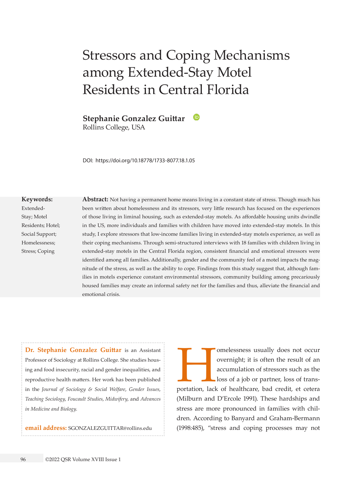# Stressors and Coping Mechanisms among Extended-Stay Motel Residents in Central Florida

**Stephanie Gonzalez Guittar**

Rollins College, USA

DOI: https://doi.org/10.18778/1733-8077.18.1.05

#### **Keywords:**

Extended-Stay; Motel Residents; Hotel; Social Support; Homelessness; Stress; Coping

**Abstract:** Not having a permanent home means living in a constant state of stress. Though much has been written about homelessness and its stressors, very little research has focused on the experiences of those living in liminal housing, such as extended-stay motels. As affordable housing units dwindle in the US, more individuals and families with children have moved into extended-stay motels. In this study, I explore stressors that low-income families living in extended-stay motels experience, as well as their coping mechanisms. Through semi-structured interviews with 18 families with children living in extended-stay motels in the Central Florida region, consistent financial and emotional stressors were identified among all families. Additionally, gender and the community feel of a motel impacts the magnitude of the stress, as well as the ability to cope. Findings from this study suggest that, although families in motels experience constant environmental stressors, community building among precariously housed families may create an informal safety net for the families and thus, alleviate the financial and emotional crisis.

**Dr. Stephanie Gonzalez Guittar** is an Assistant Professor of Sociology at Rollins College. She studies housing and food insecurity, racial and gender inequalities, and reproductive health matters. Her work has been published in the *Journal of Sociology & Social Welfare*, *Gender Issues*, *Teaching Sociology*, *Foucault Studies*, *Midwifery*, and *Advances in Medicine and Biology*.

**email address:** [SGONZALEZGUITTAR@rollins.edu](mailto:SGONZALEZGUITTAR%40rollins.edu?subject=)

omelessness usually does not occur<br>
overnight; it is often the result of an<br>
accumulation of stressors such as the<br>
loss of a job or partner, loss of trans-<br>
portation, lack of healthcare, bad credit, et cetera overnight; it is often the result of an accumulation of stressors such as the loss of a job or partner, loss of trans-(Milburn and D'Ercole 1991). These hardships and stress are more pronounced in families with children. According to Banyard and Graham-Bermann (1998:485), "stress and coping processes may not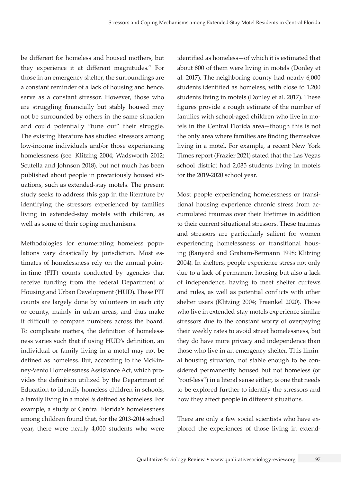be different for homeless and housed mothers, but they experience it at different magnitudes." For those in an emergency shelter, the surroundings are a constant reminder of a lack of housing and hence, serve as a constant stressor. However, those who are struggling financially but stably housed may not be surrounded by others in the same situation and could potentially "tune out" their struggle. The existing literature has studied stressors among low-income individuals and/or those experiencing homelessness (see: Klitzing 2004; Wadsworth 2012; Scutella and Johnson 2018), but not much has been published about people in precariously housed situations, such as extended-stay motels. The present study seeks to address this gap in the literature by identifying the stressors experienced by families living in extended-stay motels with children, as well as some of their coping mechanisms.

Methodologies for enumerating homeless populations vary drastically by jurisdiction. Most estimates of homelessness rely on the annual pointin-time (PIT) counts conducted by agencies that receive funding from the federal Department of Housing and Urban Development (HUD). These PIT counts are largely done by volunteers in each city or county, mainly in urban areas, and thus make it difficult to compare numbers across the board. To complicate matters, the definition of homelessness varies such that if using HUD's definition, an individual or family living in a motel may not be defined as homeless. But, according to the McKinney-Vento Homelessness Assistance Act, which provides the definition utilized by the Department of Education to identify homeless children in schools, a family living in a motel *is* defined as homeless. For example, a study of Central Florida's homelessness among children found that, for the 2013-2014 school year, there were nearly 4,000 students who were identified as homeless—of which it is estimated that about 800 of them were living in motels (Donley et al. 2017). The neighboring county had nearly 6,000 students identified as homeless, with close to 1,200 students living in motels (Donley et al. 2017). These figures provide a rough estimate of the number of families with school-aged children who live in motels in the Central Florida area—though this is not the only area where families are finding themselves living in a motel. For example, a recent New York Times report (Frazier 2021) stated that the Las Vegas school district had 2,035 students living in motels for the 2019-2020 school year.

Most people experiencing homelessness or transitional housing experience chronic stress from accumulated traumas over their lifetimes in addition to their current situational stressors. These traumas and stressors are particularly salient for women experiencing homelessness or transitional housing (Banyard and Graham-Bermann 1998; Klitzing 2004). In shelters, people experience stress not only due to a lack of permanent housing but also a lack of independence, having to meet shelter curfews and rules, as well as potential conflicts with other shelter users (Klitzing 2004; Fraenkel 2020). Those who live in extended-stay motels experience similar stressors due to the constant worry of overpaying their weekly rates to avoid street homelessness, but they do have more privacy and independence than those who live in an emergency shelter. This liminal housing situation, not stable enough to be considered permanently housed but not homeless (or "roof-less") in a literal sense either, is one that needs to be explored further to identify the stressors and how they affect people in different situations.

There are only a few social scientists who have explored the experiences of those living in extend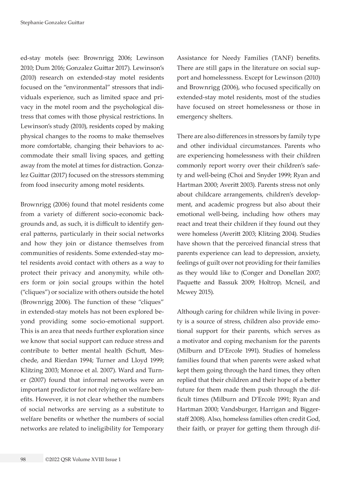ed-stay motels (see: Brownrigg 2006; Lewinson 2010; Dum 2016; Gonzalez Guittar 2017). Lewinson's (2010) research on extended-stay motel residents focused on the "environmental" stressors that individuals experience, such as limited space and privacy in the motel room and the psychological distress that comes with those physical restrictions. In Lewinson's study (2010), residents coped by making physical changes to the rooms to make themselves more comfortable, changing their behaviors to accommodate their small living spaces, and getting away from the motel at times for distraction. Gonzalez Guittar (2017) focused on the stressors stemming from food insecurity among motel residents.

Brownrigg (2006) found that motel residents come from a variety of different socio-economic backgrounds and, as such, it is difficult to identify general patterns, particularly in their social networks and how they join or distance themselves from communities of residents. Some extended-stay motel residents avoid contact with others as a way to protect their privacy and anonymity, while others form or join social groups within the hotel ("cliques") or socialize with others outside the hotel (Brownrigg 2006). The function of these "cliques" in extended-stay motels has not been explored beyond providing some socio-emotional support. This is an area that needs further exploration since we know that social support can reduce stress and contribute to better mental health (Schutt, Meschede, and Rierdan 1994; Turner and Lloyd 1999; Klitzing 2003; Monroe et al. 2007). Ward and Turner (2007) found that informal networks were an important predictor for not relying on welfare benefits. However, it is not clear whether the numbers of social networks are serving as a substitute to welfare benefits or whether the numbers of social networks are related to ineligibility for Temporary

Assistance for Needy Families (TANF) benefits. There are still gaps in the literature on social support and homelessness. Except for Lewinson (2010) and Brownrigg (2006), who focused specifically on extended-stay motel residents, most of the studies have focused on street homelessness or those in emergency shelters.

There are also differences in stressors by family type and other individual circumstances. Parents who are experiencing homelessness with their children commonly report worry over their children's safety and well-being (Choi and Snyder 1999; Ryan and Hartman 2000; Averitt 2003). Parents stress not only about childcare arrangements, children's development, and academic progress but also about their emotional well-being, including how others may react and treat their children if they found out they were homeless (Averitt 2003; Klitzing 2004). Studies have shown that the perceived financial stress that parents experience can lead to depression, anxiety, feelings of guilt over not providing for their families as they would like to (Conger and Donellan 2007; Paquette and Bassuk 2009; Holtrop, Mcneil, and Mcwey 2015).

Although caring for children while living in poverty is a source of stress, children also provide emotional support for their parents, which serves as a motivator and coping mechanism for the parents (Milburn and D'Ercole 1991). Studies of homeless families found that when parents were asked what kept them going through the hard times, they often replied that their children and their hope of a better future for them made them push through the difficult times (Milburn and D'Ercole 1991; Ryan and Hartman 2000; Vandsburger, Harrigan and Biggerstaff 2008). Also, homeless families often credit God, their faith, or prayer for getting them through dif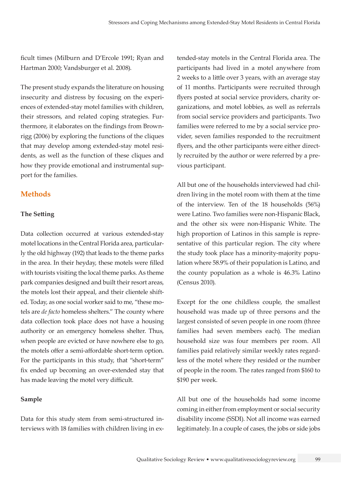ficult times (Milburn and D'Ercole 1991; Ryan and Hartman 2000; Vandsburger et al. 2008).

The present study expands the literature on housing insecurity and distress by focusing on the experiences of extended-stay motel families with children, their stressors, and related coping strategies. Furthermore, it elaborates on the findings from Brownrigg (2006) by exploring the functions of the cliques that may develop among extended-stay motel residents, as well as the function of these cliques and how they provide emotional and instrumental support for the families.

## **Methods**

#### **The Setting**

Data collection occurred at various extended-stay motel locations in the Central Florida area, particularly the old highway (192) that leads to the theme parks in the area. In their heyday, these motels were filled with tourists visiting the local theme parks. As theme park companies designed and built their resort areas, the motels lost their appeal, and their clientele shifted. Today, as one social worker said to me, "these motels are *de facto* homeless shelters." The county where data collection took place does not have a housing authority or an emergency homeless shelter. Thus, when people are evicted or have nowhere else to go, the motels offer a semi-affordable short-term option. For the participants in this study, that "short-term" fix ended up becoming an over-extended stay that has made leaving the motel very difficult.

#### **Sample**

Data for this study stem from semi-structured interviews with 18 families with children living in ex-

tended-stay motels in the Central Florida area. The participants had lived in a motel anywhere from 2 weeks to a little over 3 years, with an average stay of 11 months. Participants were recruited through flyers posted at social service providers, charity organizations, and motel lobbies, as well as referrals from social service providers and participants. Two families were referred to me by a social service provider, seven families responded to the recruitment flyers, and the other participants were either directly recruited by the author or were referred by a previous participant.

All but one of the households interviewed had children living in the motel room with them at the time of the interview. Ten of the 18 households (56%) were Latino. Two families were non-Hispanic Black, and the other six were non-Hispanic White. The high proportion of Latinos in this sample is representative of this particular region. The city where the study took place has a minority-majority population where 58.9% of their population is Latino, and the county population as a whole is 46.3% Latino (Census 2010).

Except for the one childless couple, the smallest household was made up of three persons and the largest consisted of seven people in one room (three families had seven members each). The median household size was four members per room. All families paid relatively similar weekly rates regardless of the motel where they resided or the number of people in the room. The rates ranged from \$160 to \$190 per week.

All but one of the households had some income coming in either from employment or social security disability income (SSDI). Not all income was earned legitimately. In a couple of cases, the jobs or side jobs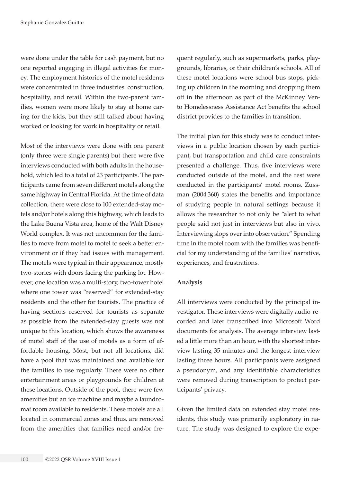were done under the table for cash payment, but no one reported engaging in illegal activities for money. The employment histories of the motel residents were concentrated in three industries: construction, hospitality, and retail. Within the two-parent families, women were more likely to stay at home caring for the kids, but they still talked about having worked or looking for work in hospitality or retail.

Most of the interviews were done with one parent (only three were single parents) but there were five interviews conducted with both adults in the household, which led to a total of 23 participants. The participants came from seven different motels along the same highway in Central Florida. At the time of data collection, there were close to 100 extended-stay motels and/or hotels along this highway, which leads to the Lake Buena Vista area, home of the Walt Disney World complex. It was not uncommon for the families to move from motel to motel to seek a better environment or if they had issues with management. The motels were typical in their appearance, mostly two-stories with doors facing the parking lot. However, one location was a multi-story, two-tower hotel where one tower was "reserved" for extended-stay residents and the other for tourists. The practice of having sections reserved for tourists as separate as possible from the extended-stay guests was not unique to this location, which shows the awareness of motel staff of the use of motels as a form of affordable housing. Most, but not all locations, did have a pool that was maintained and available for the families to use regularly. There were no other entertainment areas or playgrounds for children at these locations. Outside of the pool, there were few amenities but an ice machine and maybe a laundromat room available to residents. These motels are all located in commercial zones and thus, are removed from the amenities that families need and/or fre-

quent regularly, such as supermarkets, parks, playgrounds, libraries, or their children's schools. All of these motel locations were school bus stops, picking up children in the morning and dropping them off in the afternoon as part of the McKinney Vento Homelessness Assistance Act benefits the school district provides to the families in transition.

The initial plan for this study was to conduct interviews in a public location chosen by each participant, but transportation and child care constraints presented a challenge. Thus, five interviews were conducted outside of the motel, and the rest were conducted in the participants' motel rooms. Zussman (2004:360) states the benefits and importance of studying people in natural settings because it allows the researcher to not only be "alert to what people said not just in interviews but also in vivo. Interviewing slops over into observation." Spending time in the motel room with the families was beneficial for my understanding of the families' narrative, experiences, and frustrations.

#### **Analysis**

All interviews were conducted by the principal investigator. These interviews were digitally audio-recorded and later transcribed into Microsoft Word documents for analysis. The average interview lasted a little more than an hour, with the shortest interview lasting 35 minutes and the longest interview lasting three hours. All participants were assigned a pseudonym, and any identifiable characteristics were removed during transcription to protect participants' privacy.

Given the limited data on extended stay motel residents, this study was primarily exploratory in nature. The study was designed to explore the expe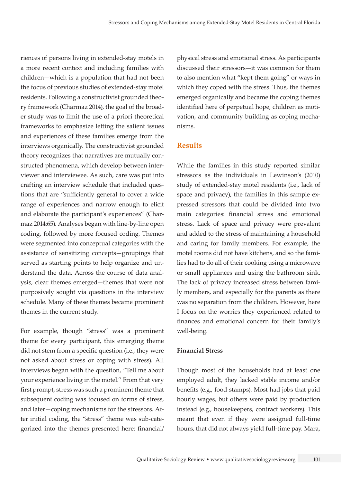riences of persons living in extended-stay motels in a more recent context and including families with children—which is a population that had not been the focus of previous studies of extended-stay motel residents. Following a constructivist grounded theory framework (Charmaz 2014), the goal of the broader study was to limit the use of a priori theoretical frameworks to emphasize letting the salient issues and experiences of these families emerge from the interviews organically. The constructivist grounded theory recognizes that narratives are mutually constructed phenomena, which develop between interviewer and interviewee. As such, care was put into crafting an interview schedule that included questions that are "sufficiently general to cover a wide range of experiences and narrow enough to elicit and elaborate the participant's experiences" (Charmaz 2014:65). Analyses began with line-by-line open coding, followed by more focused coding. Themes were segmented into conceptual categories with the assistance of sensitizing concepts—groupings that served as starting points to help organize and understand the data. Across the course of data analysis, clear themes emerged—themes that were not purposively sought via questions in the interview schedule. Many of these themes became prominent themes in the current study.

For example, though "stress" was a prominent theme for every participant, this emerging theme did not stem from a specific question (i.e., they were not asked about stress or coping with stress). All interviews began with the question, "Tell me about your experience living in the motel." From that very first prompt, stress was such a prominent theme that subsequent coding was focused on forms of stress, and later—coping mechanisms for the stressors. After initial coding, the "stress" theme was sub-categorized into the themes presented here: financial/ physical stress and emotional stress. As participants discussed their stressors—it was common for them to also mention what "kept them going" or ways in which they coped with the stress. Thus, the themes emerged organically and became the coping themes identified here of perpetual hope, children as motivation, and community building as coping mechanisms.

#### **Results**

While the families in this study reported similar stressors as the individuals in Lewinson's (2010) study of extended-stay motel residents (i.e., lack of space and privacy), the families in this sample expressed stressors that could be divided into two main categories: financial stress and emotional stress. Lack of space and privacy were prevalent and added to the stress of maintaining a household and caring for family members. For example, the motel rooms did not have kitchens, and so the families had to do all of their cooking using a microwave or small appliances and using the bathroom sink. The lack of privacy increased stress between family members, and especially for the parents as there was no separation from the children. However, here I focus on the worries they experienced related to finances and emotional concern for their family's well-being.

#### **Financial Stress**

Though most of the households had at least one employed adult, they lacked stable income and/or benefits (e.g., food stamps). Most had jobs that paid hourly wages, but others were paid by production instead (e.g., housekeepers, contract workers). This meant that even if they were assigned full-time hours, that did not always yield full-time pay. Mara,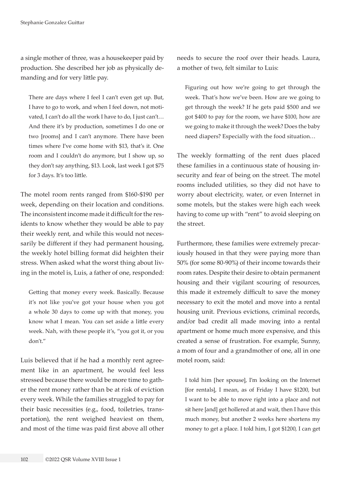a single mother of three, was a housekeeper paid by production. She described her job as physically demanding and for very little pay.

There are days where I feel I can't even get up. But, I have to go to work, and when I feel down, not motivated, I can't do all the work I have to do, I just can't… And there it's by production, sometimes I do one or two [rooms] and I can't anymore. There have been times where I've come home with \$13, that's it. One room and I couldn't do anymore, but I show up, so they don't say anything, \$13. Look, last week I got \$75 for 3 days. It's too little.

The motel room rents ranged from \$160-\$190 per week, depending on their location and conditions. The inconsistent income made it difficult for the residents to know whether they would be able to pay their weekly rent, and while this would not necessarily be different if they had permanent housing, the weekly hotel billing format did heighten their stress. When asked what the worst thing about living in the motel is, Luis, a father of one, responded:

Getting that money every week. Basically. Because it's not like you've got your house when you got a whole 30 days to come up with that money, you know what I mean. You can set aside a little every week. Nah, with these people it's, "you got it, or you don't."

Luis believed that if he had a monthly rent agreement like in an apartment, he would feel less stressed because there would be more time to gather the rent money rather than be at risk of eviction every week. While the families struggled to pay for their basic necessities (e.g., food, toiletries, transportation), the rent weighed heaviest on them, and most of the time was paid first above all other needs to secure the roof over their heads. Laura, a mother of two, felt similar to Luis:

Figuring out how we're going to get through the week. That's how we've been. How are we going to get through the week? If he gets paid \$500 and we got \$400 to pay for the room, we have \$100, how are we going to make it through the week? Does the baby need diapers? Especially with the food situation…

The weekly formatting of the rent dues placed these families in a continuous state of housing insecurity and fear of being on the street. The motel rooms included utilities, so they did not have to worry about electricity, water, or even Internet in some motels, but the stakes were high each week having to come up with "rent" to avoid sleeping on the street.

Furthermore, these families were extremely precariously housed in that they were paying more than 50% (for some 80-90%) of their income towards their room rates. Despite their desire to obtain permanent housing and their vigilant scouring of resources, this made it extremely difficult to save the money necessary to exit the motel and move into a rental housing unit. Previous evictions, criminal records, and/or bad credit all made moving into a rental apartment or home much more expensive, and this created a sense of frustration. For example, Sunny, a mom of four and a grandmother of one, all in one motel room, said:

I told him [her spouse], I'm looking on the Internet [for rentals], I mean, as of Friday I have \$1200, but I want to be able to move right into a place and not sit here [and] get hollered at and wait, then I have this much money, but another 2 weeks here shortens my money to get a place. I told him, I got \$1200, I can get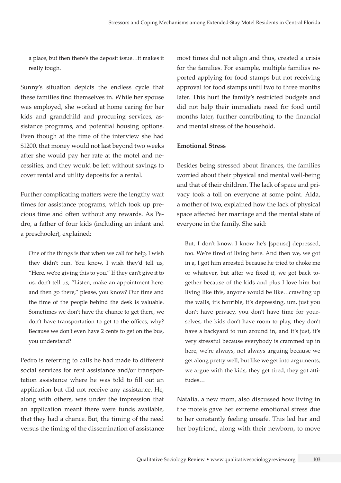a place, but then there's the deposit issue…it makes it really tough.

Sunny's situation depicts the endless cycle that these families find themselves in. While her spouse was employed, she worked at home caring for her kids and grandchild and procuring services, assistance programs, and potential housing options. Even though at the time of the interview she had \$1200, that money would not last beyond two weeks after she would pay her rate at the motel and necessities, and they would be left without savings to cover rental and utility deposits for a rental.

Further complicating matters were the lengthy wait times for assistance programs, which took up precious time and often without any rewards. As Pedro, a father of four kids (including an infant and a preschooler), explained:

One of the things is that when we call for help, I wish they didn't run. You know, I wish they'd tell us, "Here, we're giving this to you." If they can't give it to us, don't tell us, "Listen, make an appointment here, and then go there," please, you know? Our time and the time of the people behind the desk is valuable. Sometimes we don't have the chance to get there, we don't have transportation to get to the offices, why? Because we don't even have 2 cents to get on the bus, you understand?

Pedro is referring to calls he had made to different social services for rent assistance and/or transportation assistance where he was told to fill out an application but did not receive any assistance. He, along with others, was under the impression that an application meant there were funds available, that they had a chance. But, the timing of the need versus the timing of the dissemination of assistance

most times did not align and thus, created a crisis for the families. For example, multiple families reported applying for food stamps but not receiving approval for food stamps until two to three months later. This hurt the family's restricted budgets and did not help their immediate need for food until months later, further contributing to the financial and mental stress of the household.

#### **Emotional Stress**

Besides being stressed about finances, the families worried about their physical and mental well-being and that of their children. The lack of space and privacy took a toll on everyone at some point. Aida, a mother of two, explained how the lack of physical space affected her marriage and the mental state of everyone in the family. She said:

But, I don't know, I know he's [spouse] depressed, too. We're tired of living here. And then we, we got in a, I got him arrested because he tried to choke me or whatever, but after we fixed it, we got back together because of the kids and plus I love him but living like this, anyone would be like…crawling up the walls, it's horrible, it's depressing, um, just you don't have privacy, you don't have time for yourselves, the kids don't have room to play, they don't have a backyard to run around in, and it's just, it's very stressful because everybody is crammed up in here, we're always, not always arguing because we get along pretty well, but like we get into arguments, we argue with the kids, they get tired, they got attitudes…

Natalia, a new mom, also discussed how living in the motels gave her extreme emotional stress due to her constantly feeling unsafe. This led her and her boyfriend, along with their newborn, to move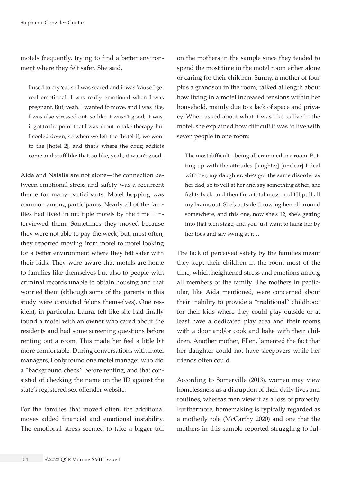motels frequently, trying to find a better environment where they felt safer. She said,

I used to cry 'cause I was scared and it was 'cause I get real emotional, I was really emotional when I was pregnant. But, yeah, I wanted to move, and I was like, I was also stressed out, so like it wasn't good, it was, it got to the point that I was about to take therapy, but I cooled down, so when we left the [hotel 1], we went to the [hotel 2], and that's where the drug addicts come and stuff like that, so like, yeah, it wasn't good.

Aida and Natalia are not alone—the connection between emotional stress and safety was a recurrent theme for many participants. Motel hopping was common among participants. Nearly all of the families had lived in multiple motels by the time I interviewed them. Sometimes they moved because they were not able to pay the week, but, most often, they reported moving from motel to motel looking for a better environment where they felt safer with their kids. They were aware that motels are home to families like themselves but also to people with criminal records unable to obtain housing and that worried them (although some of the parents in this study were convicted felons themselves). One resident, in particular, Laura, felt like she had finally found a motel with an owner who cared about the residents and had some screening questions before renting out a room. This made her feel a little bit more comfortable. During conversations with motel managers, I only found one motel manager who did a "background check" before renting, and that consisted of checking the name on the ID against the state's registered sex offender website.

For the families that moved often, the additional moves added financial and emotional instability. The emotional stress seemed to take a bigger toll on the mothers in the sample since they tended to spend the most time in the motel room either alone or caring for their children. Sunny, a mother of four plus a grandson in the room, talked at length about how living in a motel increased tensions within her household, mainly due to a lack of space and privacy. When asked about what it was like to live in the motel, she explained how difficult it was to live with seven people in one room:

The most difficult…being all crammed in a room. Putting up with the attitudes [laughter] [unclear] I deal with her, my daughter, she's got the same disorder as her dad, so to yell at her and say something at her, she fights back, and then I'm a total mess, and I'll pull all my brains out. She's outside throwing herself around somewhere, and this one, now she's 12, she's getting into that teen stage, and you just want to hang her by her toes and say swing at it…

The lack of perceived safety by the families meant they kept their children in the room most of the time, which heightened stress and emotions among all members of the family. The mothers in particular, like Aida mentioned, were concerned about their inability to provide a "traditional" childhood for their kids where they could play outside or at least have a dedicated play area and their rooms with a door and/or cook and bake with their children. Another mother, Ellen, lamented the fact that her daughter could not have sleepovers while her friends often could.

According to Somerville (2013), women may view homelessness as a disruption of their daily lives and routines, whereas men view it as a loss of property. Furthermore, homemaking is typically regarded as a motherly role (McCarthy 2020) and one that the mothers in this sample reported struggling to ful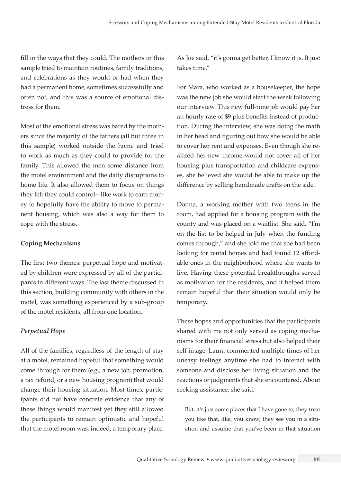fill in the ways that they could. The mothers in this sample tried to maintain routines, family traditions, and celebrations as they would or had when they had a permanent home, sometimes successfully and often not, and this was a source of emotional distress for them.

Most of the emotional stress was bared by the mothers since the majority of the fathers (all but three in this sample) worked outside the home and tried to work as much as they could to provide for the family. This allowed the men some distance from the motel environment and the daily disruptions to home life. It also allowed them to focus on things they felt they could control—like work to earn money to hopefully have the ability to move to permanent housing, which was also a way for them to cope with the stress.

#### **Coping Mechanisms**

The first two themes: perpetual hope and motivated by children were expressed by all of the participants in different ways. The last theme discussed in this section, building community with others in the motel, was something experienced by a sub-group of the motel residents, all from one location.

### *Perpetual Hope*

All of the families, regardless of the length of stay at a motel, remained hopeful that something would come through for them (e.g., a new job, promotion, a tax refund, or a new housing program) that would change their housing situation. Most times, participants did not have concrete evidence that any of these things would manifest yet they still allowed the participants to remain optimistic and hopeful that the motel room was, indeed, a temporary place.

As Joe said, "it's gonna get better, I know it is. It just takes time."

For Mara, who worked as a housekeeper, the hope was the new job she would start the week following our interview. This new full-time job would pay her an hourly rate of \$9 plus benefits instead of production. During the interview, she was doing the math in her head and figuring out how she would be able to cover her rent and expenses. Even though she realized her new income would not cover all of her housing plus transportation and childcare expenses, she believed she would be able to make up the difference by selling handmade crafts on the side.

Donna, a working mother with two teens in the room, had applied for a housing program with the county and was placed on a waitlist. She said, "I'm on the list to be helped in July when the funding comes through," and she told me that she had been looking for rental homes and had found 12 affordable ones in the neighborhood where she wants to live. Having these potential breakthroughs served as motivation for the residents, and it helped them remain hopeful that their situation would only be temporary.

These hopes and opportunities that the participants shared with me not only served as coping mechanisms for their financial stress but also helped their self-image. Laura commented multiple times of her uneasy feelings anytime she had to interact with someone and disclose her living situation and the reactions or judgments that she encountered. About seeking assistance, she said,

But, it's just some places that I have gone to, they treat you like that, like, you know, they see you in a situation and assume that you've been in that situation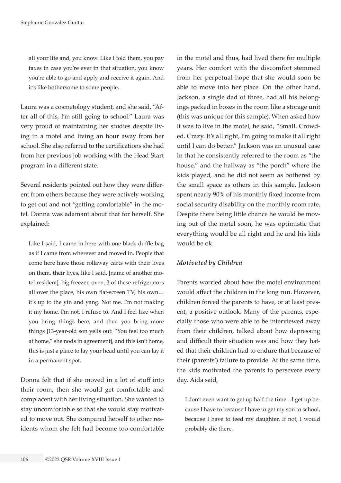all your life and, you know. Like I told them, you pay taxes in case you're ever in that situation, you know you're able to go and apply and receive it again. And it's like bothersome to some people.

Laura was a cosmetology student, and she said, "After all of this, I'm still going to school." Laura was very proud of maintaining her studies despite living in a motel and living an hour away from her school. She also referred to the certifications she had from her previous job working with the Head Start program in a different state.

Several residents pointed out how they were different from others because they were actively working to get out and not "getting comfortable" in the motel. Donna was adamant about that for herself. She explained:

Like I said, I came in here with one black duffle bag as if I came from wherever and moved in. People that come here have those rollaway carts with their lives on them, their lives, like I said, [name of another motel resident], big freezer, oven, 3 of these refrigerators all over the place, his own flat-screen TV, his own… it's up to the yin and yang. Not me. I'm not making it my home. I'm not, I refuse to. And I feel like when you bring things here, and then you bring more things [13-year-old son yells out: "You feel too much at home," she nods in agreement], and this isn't home, this is just a place to lay your head until you can lay it in a permanent spot.

Donna felt that if she moved in a lot of stuff into their room, then she would get comfortable and complacent with her living situation. She wanted to stay uncomfortable so that she would stay motivated to move out. She compared herself to other residents whom she felt had become too comfortable in the motel and thus, had lived there for multiple years. Her comfort with the discomfort stemmed from her perpetual hope that she would soon be able to move into her place. On the other hand, Jackson, a single dad of three, had all his belongings packed in boxes in the room like a storage unit (this was unique for this sample). When asked how it was to live in the motel, he said, "Small. Crowded. Crazy. It's all right, I'm going to make it all right until I can do better." Jackson was an unusual case in that he consistently referred to the room as "the house," and the hallway as "the porch" where the kids played, and he did not seem as bothered by the small space as others in this sample. Jackson spent nearly 90% of his monthly fixed income from social security disability on the monthly room rate. Despite there being little chance he would be moving out of the motel soon, he was optimistic that everything would be all right and he and his kids would be ok.

### *Motivated by Children*

Parents worried about how the motel environment would affect the children in the long run. However, children forced the parents to have, or at least present, a positive outlook. Many of the parents, especially those who were able to be interviewed away from their children, talked about how depressing and difficult their situation was and how they hated that their children had to endure that because of their (parents') failure to provide. At the same time, the kids motivated the parents to persevere every day. Aida said,

I don't even want to get up half the time…I get up because I have to because I have to get my son to school, because I have to feed my daughter. If not, I would probably die there.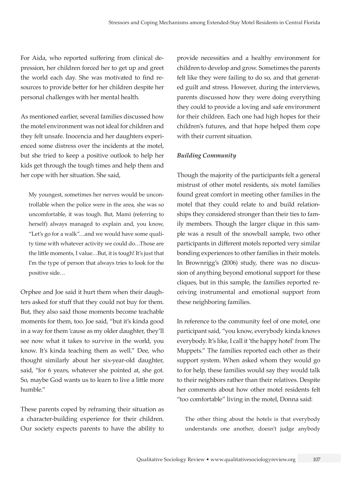For Aida, who reported suffering from clinical depression, her children forced her to get up and greet the world each day. She was motivated to find resources to provide better for her children despite her personal challenges with her mental health.

As mentioned earlier, several families discussed how the motel environment was not ideal for children and they felt unsafe. Inocencia and her daughters experienced some distress over the incidents at the motel, but she tried to keep a positive outlook to help her kids get through the tough times and help them and her cope with her situation. She said,

My youngest, sometimes her nerves would be uncontrollable when the police were in the area, she was so uncomfortable, it was tough. But, Mami (referring to herself) always managed to explain and, you know, "Let's go for a walk"…and we would have some quality time with whatever activity we could do…Those are the little moments, I value…But, it is tough! It's just that I'm the type of person that always tries to look for the positive side…

Orphee and Joe said it hurt them when their daughters asked for stuff that they could not buy for them. But, they also said those moments become teachable moments for them, too. Joe said, "but it's kinda good in a way for them 'cause as my older daughter, they'll see now what it takes to survive in the world, you know. It's kinda teaching them as well." Dee, who thought similarly about her six-year-old daughter, said, "for 6 years, whatever she pointed at, she got. So, maybe God wants us to learn to live a little more humble."

These parents coped by reframing their situation as a character-building experience for their children. Our society expects parents to have the ability to

provide necessities and a healthy environment for children to develop and grow. Sometimes the parents felt like they were failing to do so, and that generated guilt and stress. However, during the interviews, parents discussed how they were doing everything they could to provide a loving and safe environment for their children. Each one had high hopes for their children's futures, and that hope helped them cope with their current situation.

#### *Building Community*

Though the majority of the participants felt a general mistrust of other motel residents, six motel families found great comfort in meeting other families in the motel that they could relate to and build relationships they considered stronger than their ties to family members. Though the larger clique in this sample was a result of the snowball sample, two other participants in different motels reported very similar bonding experiences to other families in their motels. In Brownrigg's (2006) study, there was no discussion of anything beyond emotional support for these cliques, but in this sample, the families reported receiving instrumental and emotional support from these neighboring families.

In reference to the community feel of one motel, one participant said, "you know, everybody kinda knows everybody. It's like, I call it 'the happy hotel' from The Muppets." The families reported each other as their support system. When asked whom they would go to for help, these families would say they would talk to their neighbors rather than their relatives. Despite her comments about how other motel residents felt "too comfortable" living in the motel, Donna said:

The other thing about the hotels is that everybody understands one another, doesn't judge anybody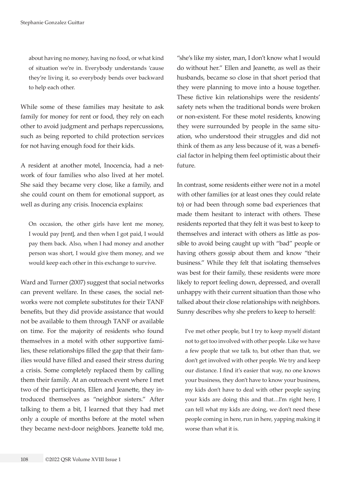about having no money, having no food, or what kind of situation we're in. Everybody understands 'cause they're living it, so everybody bends over backward to help each other.

While some of these families may hesitate to ask family for money for rent or food, they rely on each other to avoid judgment and perhaps repercussions, such as being reported to child protection services for not having enough food for their kids.

A resident at another motel, Inocencia, had a network of four families who also lived at her motel. She said they became very close, like a family, and she could count on them for emotional support, as well as during any crisis. Inocencia explains:

On occasion, the other girls have lent me money, I would pay [rent], and then when I got paid, I would pay them back. Also, when I had money and another person was short, I would give them money, and we would keep each other in this exchange to survive.

Ward and Turner (2007) suggest that social networks can prevent welfare. In these cases, the social networks were not complete substitutes for their TANF benefits, but they did provide assistance that would not be available to them through TANF or available on time. For the majority of residents who found themselves in a motel with other supportive families, these relationships filled the gap that their families would have filled and eased their stress during a crisis. Some completely replaced them by calling them their family. At an outreach event where I met two of the participants, Ellen and Jeanette, they introduced themselves as "neighbor sisters." After talking to them a bit, I learned that they had met only a couple of months before at the motel when they became next-door neighbors. Jeanette told me,

"she's like my sister, man, I don't know what I would do without her." Ellen and Jeanette, as well as their husbands, became so close in that short period that they were planning to move into a house together. These fictive kin relationships were the residents' safety nets when the traditional bonds were broken or non-existent. For these motel residents, knowing they were surrounded by people in the same situation, who understood their struggles and did not think of them as any less because of it, was a beneficial factor in helping them feel optimistic about their future.

In contrast, some residents either were not in a motel with other families (or at least ones they could relate to) or had been through some bad experiences that made them hesitant to interact with others. These residents reported that they felt it was best to keep to themselves and interact with others as little as possible to avoid being caught up with "bad" people or having others gossip about them and know "their business." While they felt that isolating themselves was best for their family, these residents were more likely to report feeling down, depressed, and overall unhappy with their current situation than those who talked about their close relationships with neighbors. Sunny describes why she prefers to keep to herself:

I've met other people, but I try to keep myself distant not to get too involved with other people. Like we have a few people that we talk to, but other than that, we don't get involved with other people. We try and keep our distance. I find it's easier that way, no one knows your business, they don't have to know your business, my kids don't have to deal with other people saying your kids are doing this and that…I'm right here, I can tell what my kids are doing, we don't need these people coming in here, run in here, yapping making it worse than what it is.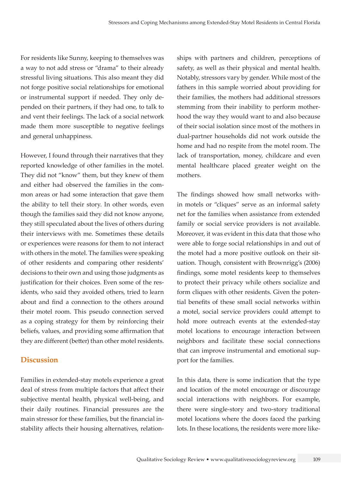For residents like Sunny, keeping to themselves was a way to not add stress or "drama" to their already stressful living situations. This also meant they did not forge positive social relationships for emotional or instrumental support if needed. They only depended on their partners, if they had one, to talk to and vent their feelings. The lack of a social network made them more susceptible to negative feelings and general unhappiness.

However, I found through their narratives that they reported knowledge of other families in the motel. They did not "know" them, but they knew of them and either had observed the families in the common areas or had some interaction that gave them the ability to tell their story. In other words, even though the families said they did not know anyone, they still speculated about the lives of others during their interviews with me. Sometimes these details or experiences were reasons for them to not interact with others in the motel. The families were speaking of other residents and comparing other residents' decisions to their own and using those judgments as justification for their choices. Even some of the residents, who said they avoided others, tried to learn about and find a connection to the others around their motel room. This pseudo connection served as a coping strategy for them by reinforcing their beliefs, values, and providing some affirmation that they are different (better) than other motel residents.

## **Discussion**

Families in extended-stay motels experience a great deal of stress from multiple factors that affect their subjective mental health, physical well-being, and their daily routines. Financial pressures are the main stressor for these families, but the financial instability affects their housing alternatives, relationships with partners and children, perceptions of safety, as well as their physical and mental health. Notably, stressors vary by gender. While most of the fathers in this sample worried about providing for their families, the mothers had additional stressors stemming from their inability to perform motherhood the way they would want to and also because of their social isolation since most of the mothers in dual-partner households did not work outside the home and had no respite from the motel room. The lack of transportation, money, childcare and even mental healthcare placed greater weight on the mothers.

The findings showed how small networks within motels or "cliques" serve as an informal safety net for the families when assistance from extended family or social service providers is not available. Moreover, it was evident in this data that those who were able to forge social relationships in and out of the motel had a more positive outlook on their situation. Though, consistent with Brownrigg's (2006) findings, some motel residents keep to themselves to protect their privacy while others socialize and form cliques with other residents. Given the potential benefits of these small social networks within a motel, social service providers could attempt to hold more outreach events at the extended-stay motel locations to encourage interaction between neighbors and facilitate these social connections that can improve instrumental and emotional support for the families.

In this data, there is some indication that the type and location of the motel encourage or discourage social interactions with neighbors. For example, there were single-story and two-story traditional motel locations where the doors faced the parking lots. In these locations, the residents were more like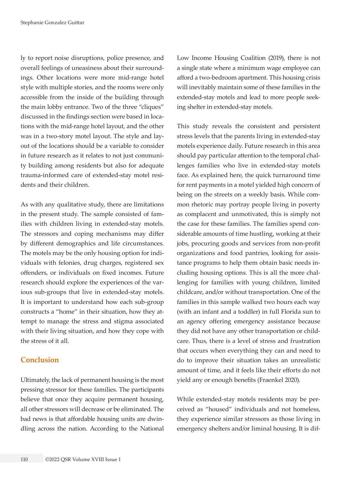ly to report noise disruptions, police presence, and overall feelings of uneasiness about their surroundings. Other locations were more mid-range hotel style with multiple stories, and the rooms were only accessible from the inside of the building through the main lobby entrance. Two of the three "cliques" discussed in the findings section were based in locations with the mid-range hotel layout, and the other was in a two-story motel layout. The style and layout of the locations should be a variable to consider in future research as it relates to not just community building among residents but also for adequate trauma-informed care of extended-stay motel residents and their children.

As with any qualitative study, there are limitations in the present study. The sample consisted of families with children living in extended-stay motels. The stressors and coping mechanisms may differ by different demographics and life circumstances. The motels may be the only housing option for individuals with felonies, drug charges, registered sex offenders, or individuals on fixed incomes. Future research should explore the experiences of the various sub-groups that live in extended-stay motels. It is important to understand how each sub-group constructs a "home" in their situation, how they attempt to manage the stress and stigma associated with their living situation, and how they cope with the stress of it all.

### **Conclusion**

Ultimately, the lack of permanent housing is the most pressing stressor for these families. The participants believe that once they acquire permanent housing, all other stressors will decrease or be eliminated. The bad news is that affordable housing units are dwindling across the nation. According to the National Low Income Housing Coalition (2019), there is not a single state where a minimum wage employee can afford a two-bedroom apartment. This housing crisis will inevitably maintain some of these families in the extended-stay motels and lead to more people seeking shelter in extended-stay motels.

This study reveals the consistent and persistent stress levels that the parents living in extended-stay motels experience daily. Future research in this area should pay particular attention to the temporal challenges families who live in extended-stay motels face. As explained here, the quick turnaround time for rent payments in a motel yielded high concern of being on the streets on a weekly basis. While common rhetoric may portray people living in poverty as complacent and unmotivated, this is simply not the case for these families. The families spend considerable amounts of time hustling, working at their jobs, procuring goods and services from non-profit organizations and food pantries, looking for assistance programs to help them obtain basic needs including housing options. This is all the more challenging for families with young children, limited childcare, and/or without transportation. One of the families in this sample walked two hours each way (with an infant and a toddler) in full Florida sun to an agency offering emergency assistance because they did not have any other transportation or childcare. Thus, there is a level of stress and frustration that occurs when everything they can and need to do to improve their situation takes an unrealistic amount of time, and it feels like their efforts do not yield any or enough benefits (Fraenkel 2020).

While extended-stay motels residents may be perceived as "housed" individuals and not homeless, they experience similar stressors as those living in emergency shelters and/or liminal housing. It is dif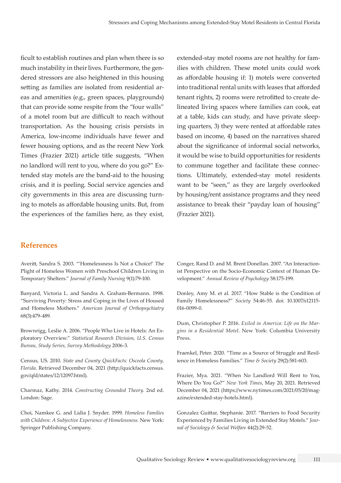ficult to establish routines and plan when there is so much instability in their lives. Furthermore, the gendered stressors are also heightened in this housing setting as families are isolated from residential areas and amenities (e.g., green spaces, playgrounds) that can provide some respite from the "four walls" of a motel room but are difficult to reach without transportation. As the housing crisis persists in America, low-income individuals have fewer and fewer housing options, and as the recent New York Times (Frazier 2021) article title suggests, "When no landlord will rent to you, where do you go?" Extended stay motels are the band-aid to the housing crisis, and it is peeling. Social service agencies and city governments in this area are discussing turning to motels as affordable housing units. But, from the experiences of the families here, as they exist, extended-stay motel rooms are not healthy for families with children. These motel units could work as affordable housing if: 1) motels were converted into traditional rental units with leases that afforded tenant rights, 2) rooms were retrofitted to create delineated living spaces where families can cook, eat at a table, kids can study, and have private sleeping quarters, 3) they were rented at affordable rates based on income, 4) based on the narratives shared about the significance of informal social networks, it would be wise to build opportunities for residents to commune together and facilitate these connections. Ultimately, extended-stay motel residents want to be "seen," as they are largely overlooked by housing/rent assistance programs and they need assistance to break their "payday loan of housing" (Frazier 2021).

### **References**

Averitt, Sandra S. 2003. "'Homelessness Is Not a Choice!' The Plight of Homeless Women with Preschool Children Living in Temporary Shelters." *Journal of Family Nursing* 9(1):79-100.

Banyard, Victoria L. and Sandra A. Graham-Bermann. 1998. "Surviving Poverty: Stress and Coping in the Lives of Housed and Homeless Mothers." *American Journal of Orthopsychiatry* 68(3):479-489.

Brownrigg, Leslie A. 2006. "People Who Live in Hotels: An Exploratory Overview." *Statistical Research Division, U.S. Census Bureau, Study Series, Survey Methodology* 2006-3.

Census, US. 2010. *State and County QuickFacts: Osceola County, Florida*. Retrieved December 04, 2021 [\(http://quickfacts.census.](http://quickfacts.census.gov/qfd/states/12/12097.html) [gov/qfd/states/12/12097.html](http://quickfacts.census.gov/qfd/states/12/12097.html)).

Charmaz, Kathy. 2014. *Constructing Grounded Theory.* 2nd ed. London: Sage.

Choi, Namkee G. and Lidia J. Snyder. 1999. *Homeless Families with Children: A Subjective Experience of Homelessness*. New York: Springer Publishing Company.

Conger, Rand D. and M. Brent Donellan. 2007. "An Interactionist Perspective on the Socio-Economic Context of Human Development." *Annual Review of Psychology* 58:175-199.

Donley, Amy M. et al. 2017. "How Stable is the Condition of Family Homelessness?" *Society* 54:46-55. doi: 10.1007/s12115- 016-0099-0.

Dum, Christopher P. 2016. *Exiled in America: Life on the Margins in a Residential Motel*. New York: Columbia University Press.

Fraenkel, Peter. 2020. "Time as a Source of Struggle and Resilience in Homeless Families." *Time & Society* 29(2):581-603.

Frazier, Mya. 2021. "When No Landlord Will Rent to You, Where Do You Go?" *New York Times*, May 20, 2021. Retrieved December 04, 2021 ([https://www.nytimes.com/2021/05/20/mag](https://www.nytimes.com/2021/05/20/magazine/extended-stay-hotels.html)[azine/extended-stay-hotels.html](https://www.nytimes.com/2021/05/20/magazine/extended-stay-hotels.html)).

Gonzalez Guittar, Stephanie. 2017. "Barriers to Food Security Experienced by Families Living in Extended Stay Motels." *Journal of Sociology & Social Welfare* 44(2):29-52.